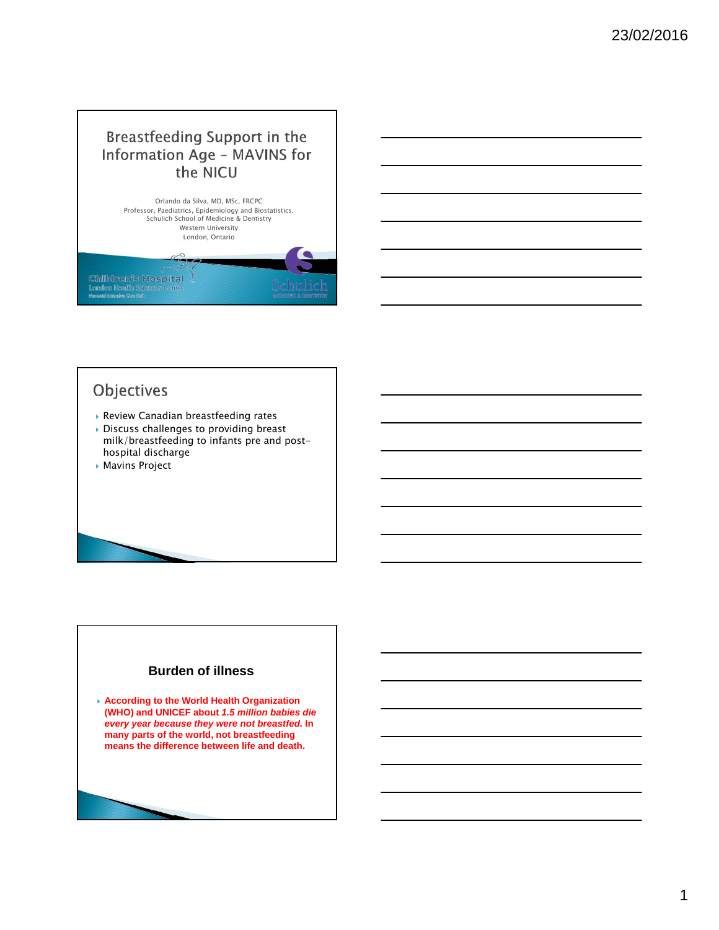### Breastfeeding Support in the **Information Age - MAVINS for** the NICU



#### Objectives

- Review Canadian breastfeeding rates
- Discuss challenges to providing breast milk/breastfeeding to infants pre and posthospital discharge
- Mavins Project

#### **Burden of illness**

 **According to the World Health Organization (WHO) and UNICEF about** *1.5 million babies die every year because they were not breastfed.* **In many parts of the world, not breastfeeding means the difference between life and death.**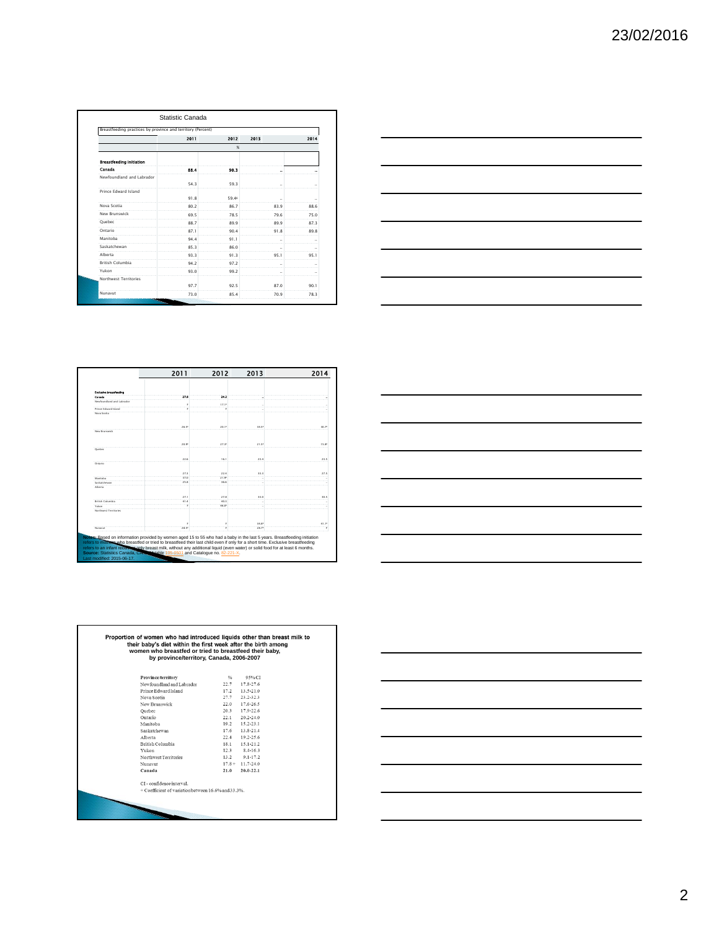| Breastfeeding practices by province and territory (Percent) |      |                   |      |                      |
|-------------------------------------------------------------|------|-------------------|------|----------------------|
|                                                             | 2011 | 2012              | 2013 | 2014                 |
|                                                             |      | %                 |      |                      |
| <b>Breastfeeding Initiation</b>                             |      |                   |      |                      |
| Canada                                                      | 88.4 | 90.3              | н.   | ۰.                   |
| Newfoundland and Labrador                                   |      |                   |      |                      |
|                                                             | 54.3 | 59.3              |      |                      |
| Prince Edward Island                                        |      |                   |      |                      |
|                                                             | 91.8 | 59.4 <sup>E</sup> |      |                      |
| Nova Scotia                                                 | 80.2 | 86.7              | 83.9 | 88.6                 |
| New Brunswick                                               | 69.5 | 78.5              | 79.6 | 75.0                 |
| Ouebec                                                      | 88.7 | 89.9              | 89.9 | 87.3                 |
| Ontario                                                     | 87.1 | 90.4              | 91.8 | 89.8                 |
| Manitoba                                                    | 94.4 | 91.1              |      | $\ddot{\phantom{a}}$ |
| Saskatchewan                                                | 85.3 | 86.0              |      |                      |
| Alberta                                                     | 93.3 | 91.3              | 95.1 | 95.1                 |
| <b>British Columbia</b>                                     | 94.2 | 97.2              | ä,   |                      |
| Yukon                                                       | 93.0 | 99.2              |      | $\ddot{\phantom{a}}$ |
| Northwest Territories                                       |      |                   |      |                      |
|                                                             | 97.7 | 92.5              | 87.0 | 90.1                 |
| Nunavut                                                     | 73.0 | 85.4              | 70.9 | 78.3                 |



|                           | 2011  | 2012                | 2013              | 2014              |
|---------------------------|-------|---------------------|-------------------|-------------------|
|                           |       |                     |                   |                   |
| Exclusive breastfooding   |       |                     |                   |                   |
| Canada                    | 27.8  | 24.2                |                   |                   |
| Newfoundland and Labrador |       | 17.15               |                   |                   |
| Prince Edward Island      |       |                     |                   |                   |
| Neva Scotta               |       |                     |                   |                   |
|                           | 26.57 | $20.1$ <sup>1</sup> | 34.57             | 30.7 <sup>0</sup> |
| New Brunswick             |       |                     |                   |                   |
|                           | 20.91 | 27.38               | 21.5%             | 15.89             |
| Quebec                    |       |                     |                   |                   |
|                           | 22.6  | 16.1                | 23.4              | 23.5              |
| Ontario                   |       |                     |                   |                   |
|                           | 27.3  | 22.4                | 33.3              | 27.5              |
| Manitoba                  | 37.0  | 21.99               |                   |                   |
| Saskatchewan              | 25.8  | 36.6                |                   |                   |
| Alberta                   |       |                     |                   |                   |
|                           | 27.1  | 27.8                | 33.0              | 30.5              |
| British Columbia          | 41.4  | 40.3                |                   |                   |
| Yukon                     |       | 46.09               |                   |                   |
| Northwest Territories     |       |                     |                   |                   |
|                           |       |                     | 34.8 <sup>6</sup> | $41.1^{8}$        |
| Nunavut                   | 28.57 |                     | 28.74             |                   |

| <u> 1989 - Andrea Stadt Britain, amerikansk politik (d. 1989)</u>                                                                                                                                                             |  |  |  |
|-------------------------------------------------------------------------------------------------------------------------------------------------------------------------------------------------------------------------------|--|--|--|
| <u> 1989 - Johann John Stone, markin fan it ferstjer fan de ferstjer fan it ferstjer fan it ferstjer fan it fers</u>                                                                                                          |  |  |  |
| <u> 1989 - Andrea Stadt Britain, amerikansk politik (* 1989)</u>                                                                                                                                                              |  |  |  |
| <u> 1989 - Andrea Stadt Britain, amerikansk politik (d. 1989)</u>                                                                                                                                                             |  |  |  |
| <u> 1989 - Johann Harry Harry Harry Harry Harry Harry Harry Harry Harry Harry Harry Harry Harry Harry Harry Harry</u>                                                                                                         |  |  |  |
| the control of the control of the control of the control of the control of the control of the control of the control of the control of the control of the control of the control of the control of the control of the control |  |  |  |
|                                                                                                                                                                                                                               |  |  |  |

|                                                     | women who breastfed or tried to breastfeed their baby,<br>by province/territory, Canada, 2006-2007 |                 |  |  |
|-----------------------------------------------------|----------------------------------------------------------------------------------------------------|-----------------|--|--|
| Province/territory                                  | 96                                                                                                 | 95%CL           |  |  |
| Newfoundland and Labrador                           | 22.7                                                                                               | 17.8-27.6       |  |  |
| Prince Edward Island                                | 17.2                                                                                               | $13.5 - 21.0$   |  |  |
| Nova Scotia                                         | 27.7                                                                                               | 23.2-32.3       |  |  |
| New Brunswick                                       | 22.0                                                                                               | 17.6-26.5       |  |  |
| Ouebec                                              | 20.3                                                                                               | 17.9-22.6       |  |  |
| Ontario                                             | 22.1                                                                                               | $20.2 - 24.0$   |  |  |
| Manitoha                                            | 19.2                                                                                               | $15.2 - 23.1$   |  |  |
| Saskatchewan                                        | 17.6                                                                                               | $13.8 - 21.4$   |  |  |
| Alberta                                             | 22.4                                                                                               | $19.2 - 25.6$   |  |  |
| British Columbia                                    | 18.1                                                                                               | 15.1-21.2       |  |  |
| Yukon                                               | 12.3                                                                                               | 8.4-16.3        |  |  |
| Northwest Territories                               |                                                                                                    | $13.2$ 9.1-17.2 |  |  |
| Nunavut                                             | $17.8 +$                                                                                           | $11.7 - 24.0$   |  |  |
| Canada                                              | 21.0                                                                                               | 20.0-22.1       |  |  |
| CI - confidence interval.                           |                                                                                                    |                 |  |  |
| + Coefficient of variation between 16.6% and 33.3%. |                                                                                                    |                 |  |  |

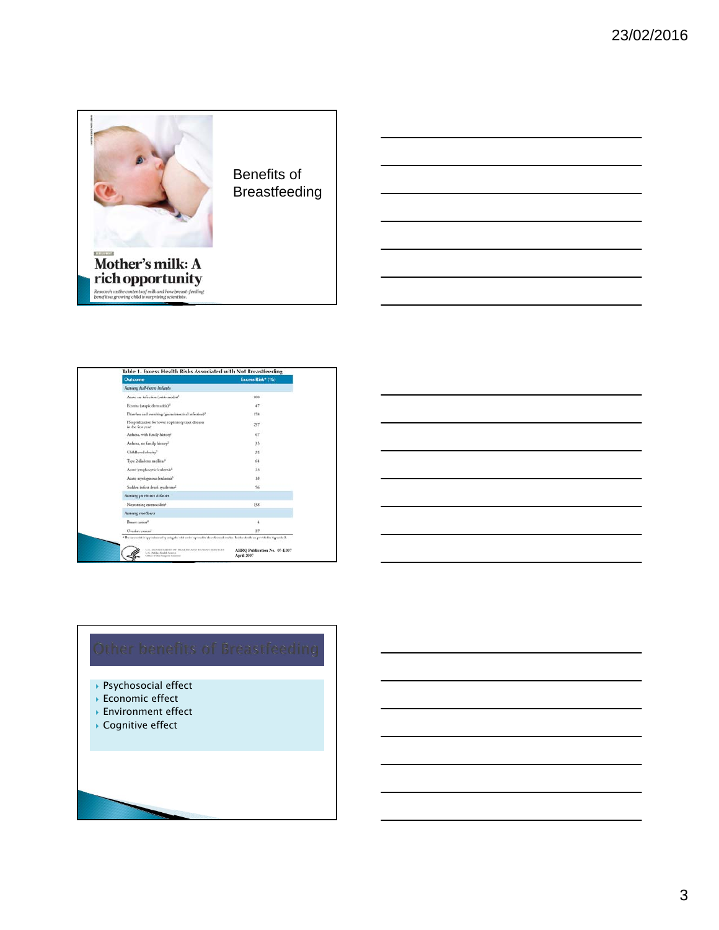

Benefits of Breastfeeding

| Outcome                                                                                | Excess Risk* (%)     |
|----------------------------------------------------------------------------------------|----------------------|
| Among full-term infants                                                                |                      |
| Acute ese infection (otitis media) <sup>1</sup>                                        | 100                  |
| Eczenia (atopic demustitis) <sup>21</sup>                                              | 47                   |
| Diarrhea and voteiting (gastrointestinal infection) <sup>3</sup>                       | 178                  |
| Hospitalization for lower respiratory tract diseases<br>in the first year <sup>4</sup> | 257                  |
| Arthma, with family history <sup>2</sup>                                               | 67                   |
| Ardıma, no family history?                                                             | 35                   |
| Childhood obesity'                                                                     | 32                   |
| Type 2 dialones mellitus <sup>4</sup>                                                  | 64                   |
| Acute hypphocytic leukemis2                                                            | 25                   |
| Acute myelogenous leukemis'                                                            | 1.5                  |
| Sudden infant death syndrome <sup>2</sup>                                              | 56                   |
| Among preterm infants                                                                  |                      |
| Necessizing enterocolitis2                                                             | 138                  |
| Among mothers                                                                          |                      |
| <b>Remass conscent</b>                                                                 | $\ddot{\phantom{1}}$ |
| Ovarian cancer <sup>1</sup>                                                            | 27                   |

- Psychosocial effect
- **Economic effect**
- Environment effect
- Cognitive effect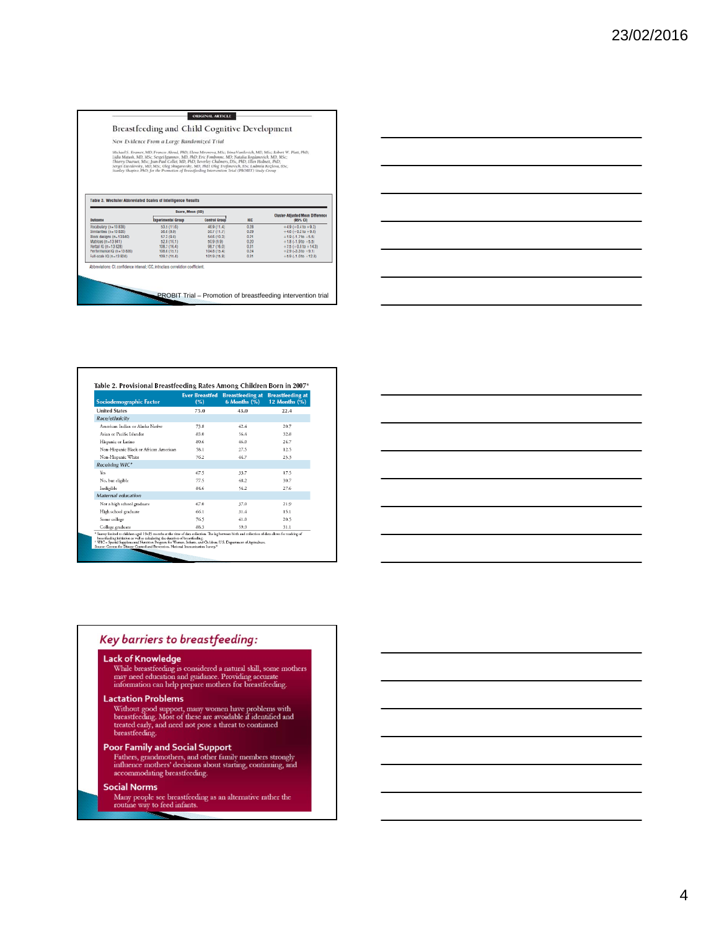#### Breastfeeding and Child Cognitive Development

ORIGINAL ARTICLE

New Evidence From a Large Randomized Trial

Michael S. Kramer, MI2; Frances Aboud, PhD; Elena Mironou, MSc; Irina Vanilovich, MD; MSc; Erbert W. Plati, PhD;<br>Lisla Matash, ND, MSc; Sergel (gumner, MD, PhD; Eric Fombone, MD; Statala Broghavsich, MD, MSc;<br>Thiery Ductor

| <b>Cluster-Adjusted Mean Difference</b> |
|-----------------------------------------|
|                                         |
| $+4.9 (+0.4 to +9.3)$                   |
| $+4.6 (+0.2 to +9.0)$                   |
| $+1.9(-1.710 + 5.5)$                    |
| $+1.8(-1.910+5.5)$                      |
| $+7.5 (+0.8 to +14.3)$                  |
| $+2.9(-3.310+9.1)$                      |
| $+5.9(-1.010 + 12.81)$                  |
|                                         |

| Sociodemographic Factor                                                                                                                                                                                                                                                                                                                                                                                                                                                | <b>Ever Breastfed</b><br>(%) | <b>Breastfeeding at Breastfeeding at</b><br>$6$ Months $(%$ ) | 12 Months (%) |
|------------------------------------------------------------------------------------------------------------------------------------------------------------------------------------------------------------------------------------------------------------------------------------------------------------------------------------------------------------------------------------------------------------------------------------------------------------------------|------------------------------|---------------------------------------------------------------|---------------|
| <b>United States</b>                                                                                                                                                                                                                                                                                                                                                                                                                                                   | 75.0                         | 43.0                                                          | 22.4          |
| Race/ethnicity                                                                                                                                                                                                                                                                                                                                                                                                                                                         |                              |                                                               |               |
| American Indian or Alaska Native                                                                                                                                                                                                                                                                                                                                                                                                                                       | 73.8                         | 42.4                                                          | 20.7          |
| Asian or Pacific Islander                                                                                                                                                                                                                                                                                                                                                                                                                                              | 83.0                         | 56.4                                                          | 32.8          |
| Hispanic or Latino                                                                                                                                                                                                                                                                                                                                                                                                                                                     | 80.6                         | 46.0                                                          | 24.7          |
| Non-Hispanic Black or African American                                                                                                                                                                                                                                                                                                                                                                                                                                 | 58.1                         | 27.5                                                          | 12.5          |
| Non-Hispanic White                                                                                                                                                                                                                                                                                                                                                                                                                                                     | 76.2                         | 44.7                                                          | 23.3          |
| Receiving WIC <sup>+</sup>                                                                                                                                                                                                                                                                                                                                                                                                                                             |                              |                                                               |               |
| Yes                                                                                                                                                                                                                                                                                                                                                                                                                                                                    | 67.5                         | 33.7                                                          | 17.5          |
| No, but eligible                                                                                                                                                                                                                                                                                                                                                                                                                                                       | 77.5                         | 48.2                                                          | 30.7          |
| Indigible                                                                                                                                                                                                                                                                                                                                                                                                                                                              | 84.6                         | 54.2                                                          | 27.6          |
| Maternal education                                                                                                                                                                                                                                                                                                                                                                                                                                                     |                              |                                                               |               |
| Not a high school graduate                                                                                                                                                                                                                                                                                                                                                                                                                                             | 67.0                         | 37.0                                                          | 21.9          |
| High school graduate                                                                                                                                                                                                                                                                                                                                                                                                                                                   | 66.1                         | 31.4                                                          | 15.1          |
| Some college                                                                                                                                                                                                                                                                                                                                                                                                                                                           | 76.5                         | 41.0                                                          | 20.5          |
| College graduate                                                                                                                                                                                                                                                                                                                                                                                                                                                       | 88.3                         | 59.9                                                          | 31.1          |
| * Survey limited to children aged 19-35 months at the time of data collection. The lag between birth and collection of data allows for tracking of<br>breastfeeding initiation as well as calculating the duration of breastfeeding.<br><sup>1</sup> WIC - Special Supplemental Nutrition Program for Women, Infants, and Ch Idren; U.S. Department of Agriculture.<br>Source: Centers for Disease Control and Prevention, National Immunization Survey. <sup>41</sup> |                              |                                                               |               |

#### Key barriers to breastfeeding:

#### Lack of Knowledge

While breastfeeding is considered a natural skill, some mothers<br>may need education and guidance. Providing accurate<br>information can help prepare mothers for breastfeeding.

#### **Lactation Problems**

Without good support, many women have problems with<br>breastfeeding. Most of these are avoidable if identified and<br>treated early, and need not pose a threat to continued<br>breastfeeding.

 $\overline{\phantom{a}}$ 

**Poor Family and Social Support**<br>Fathers, grandmothers, and other family members strongly<br>influence mothers' decisions about starting, continuing, and<br>accommodating breastfeeding.

#### **Social Norms**

Many people see breastfeeding as an alternative rather the routine way to feed infants.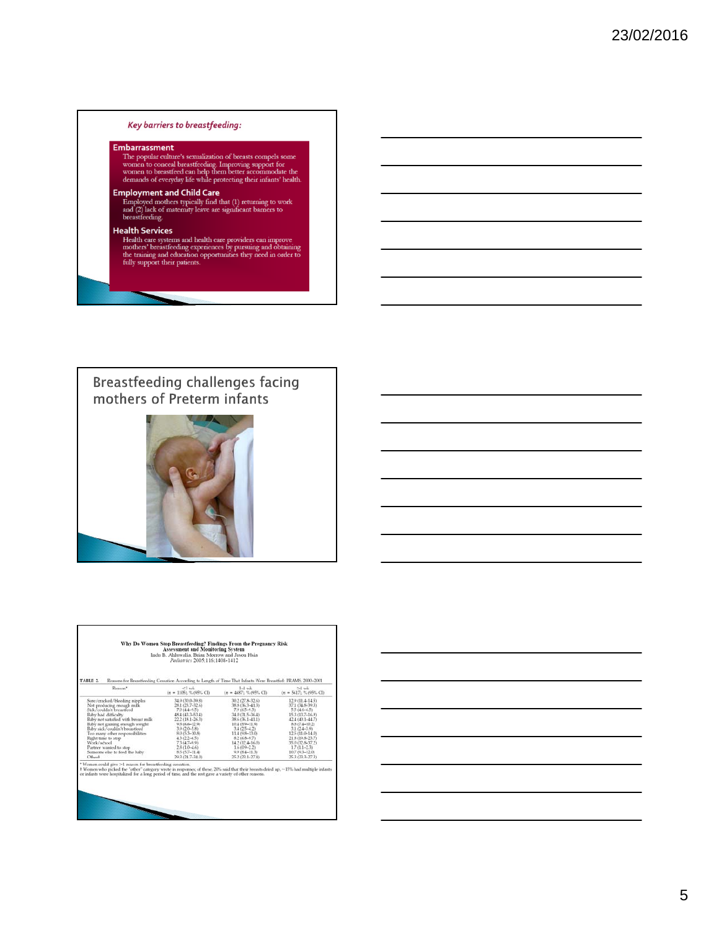#### Key barriers to breastfeeding:

#### Embarrassment

The popular culture's sexualization of breasts compels some<br>women to conceal breastfeeding. Improving support for<br>women to breastfeed can help them better accommodate the<br>demands of everyday life while protecting their inf

**Employment and Child Care**<br>
Employed mothers typically find that (1) returning to work<br>
and (2) lack of maternity leave are significant barners to<br>
breastfreeding.

#### **Health Services**

Health care systems and health care providers can improve<br>Health care systems and health care providers can improve<br>mothers' breastfeeding experiences by pursuing and obtaining<br>the training and education opportunities they

# Breastfeeding challenges facing<br>mothers of Preterm infants



г

| TABLE 2                        | Reason*                             | $-1$ $w$                  | Reasons for Breastfeeding Cessation According to Length of Time That Infants Were Breastfed: PRAMS, 2000-2001<br>$1-4$ $mk$ | $>4$ wk                   |
|--------------------------------|-------------------------------------|---------------------------|-----------------------------------------------------------------------------------------------------------------------------|---------------------------|
|                                |                                     | $(n = 1105)$ , % (95% CD) | $(n = 4687, % (05%, C))$                                                                                                    | $(n = 5617)$ , % (95% CI) |
|                                | Sore/cracked/bleeding nipples       | 34.9 (30.0-39.8)          | 30.2 (27.8-32.6)                                                                                                            | $129(11+145)$             |
| Not producing enough milk      |                                     | 28.1 (23.7-32.6)          | 38.8 (36.3-41.3)                                                                                                            | 37.1 (34.8-39.3)          |
| Sick/couldn't breastfeed       |                                     | $7.0(4.4 - 9.5)$          | $79(65-0.3)$                                                                                                                | $55(4.6-6.5)$             |
| Baby had difficulty            |                                     | 48.4 (43.3-53.4)          | 34.0 (31.5-36.4)                                                                                                            | 15.3 (13.7-16.9)          |
|                                | Raby not satisfied with breast milk | $22.2$ (18.1-26.3)        | 38.6436.1-41.1)                                                                                                             | 42.4 (40.1-44.7)          |
| Baby not gaining enough weight |                                     | 9.8 (6.6-12.9)            | 10.4 (8.9-11.9)                                                                                                             | 8.8 (7.4-10.2)            |
| Baby sick/couldn't breastfeed  |                                     | $3.9(2.0 - 5.8)$          | $3.4(2.5-1.2)$                                                                                                              | $3.1(2.4-3.9)$            |
|                                | Too many other responsibilities     | 8.015.3-10.81             | 11.4 (9.8-13.0)                                                                                                             | 12.5 (11.0-14.0)          |
| Right time to stop             |                                     | $43(22-65)$               | 82 (6.8-9.7)                                                                                                                | $21.8(19.8-23.7)$         |
| Work/school                    |                                     | $73(47-99)$               | 14.2 (12.4-16.0)                                                                                                            | 35.0 (32.8-37.2)          |
|                                | Partner wanted to stop              | $28(10-46)$               | $1609 - 221$                                                                                                                | $1.7(1.1 - 2.3)$          |
|                                | Someone else to feed the baby       | 8.5 (5.7-11.4)            | $0.0$ (8.4-11.3)                                                                                                            | 10.7 (9.3-12.0)           |
| Othert                         |                                     | 29.3 (24.7-34.0)          | 25.2 (23.1 - 27.4)                                                                                                          | 253 (23 3-27 3)           |

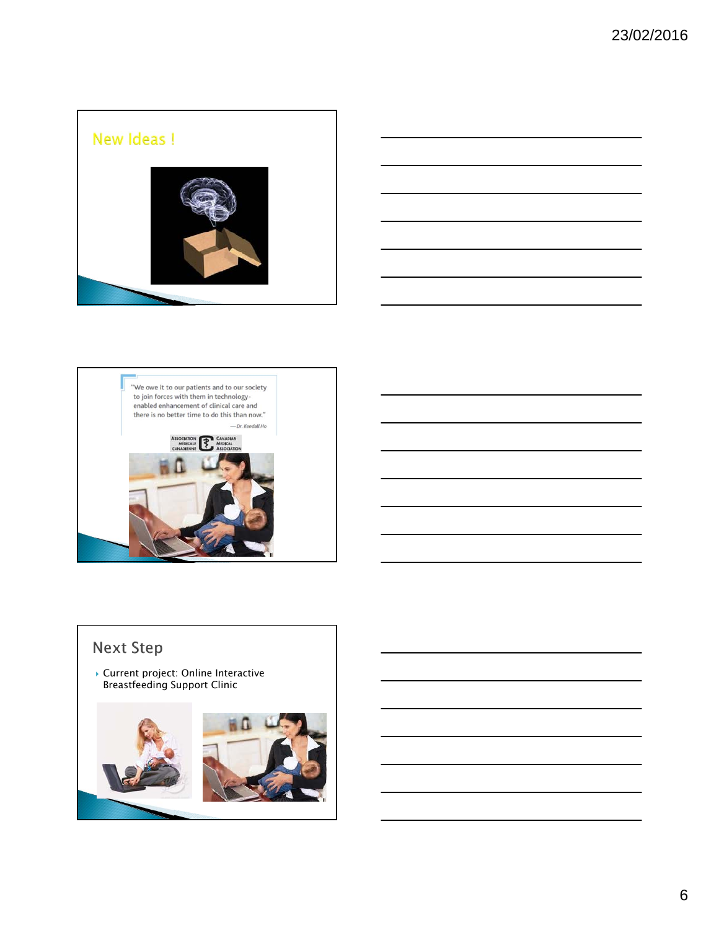







## **Next Step**

 Current project: Online Interactive Breastfeeding Support Clinic

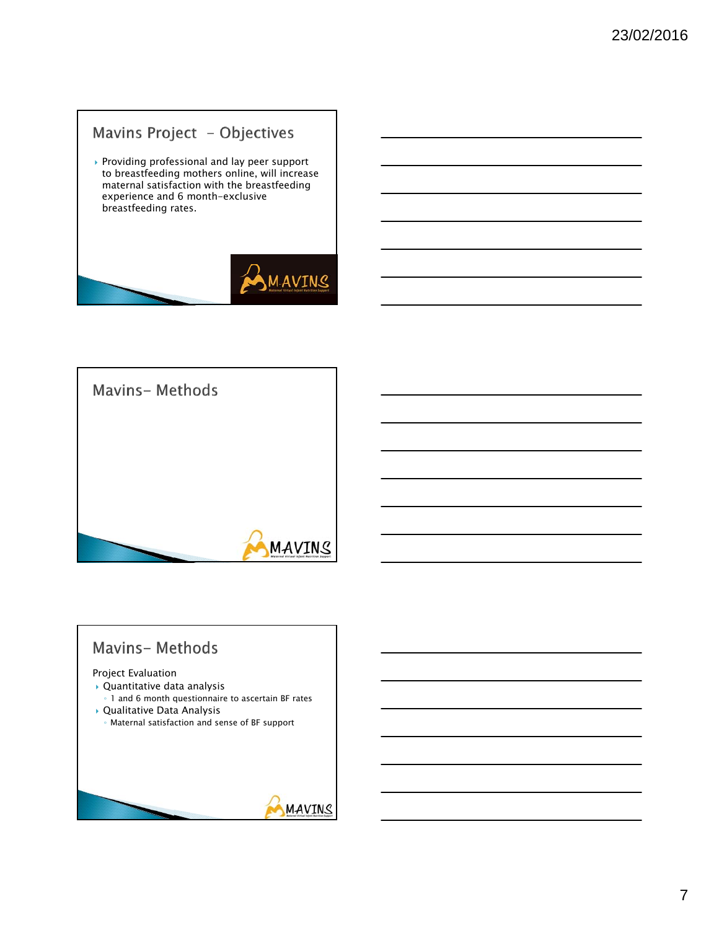## Mavins Project - Objectives

 $\blacktriangleright$  Providing professional and lay peer support to breastfeeding mothers online, will increase maternal satisfaction with the breastfeeding experience and 6 month-exclusive breastfeeding rates.





# **Mavins-Methods** Project Evaluation Quantitative data analysis ◦ 1 and 6 month questionnaire to ascertain BF rates Qualitative Data Analysis ◦ Maternal satisfaction and sense of BF support**MAVINS**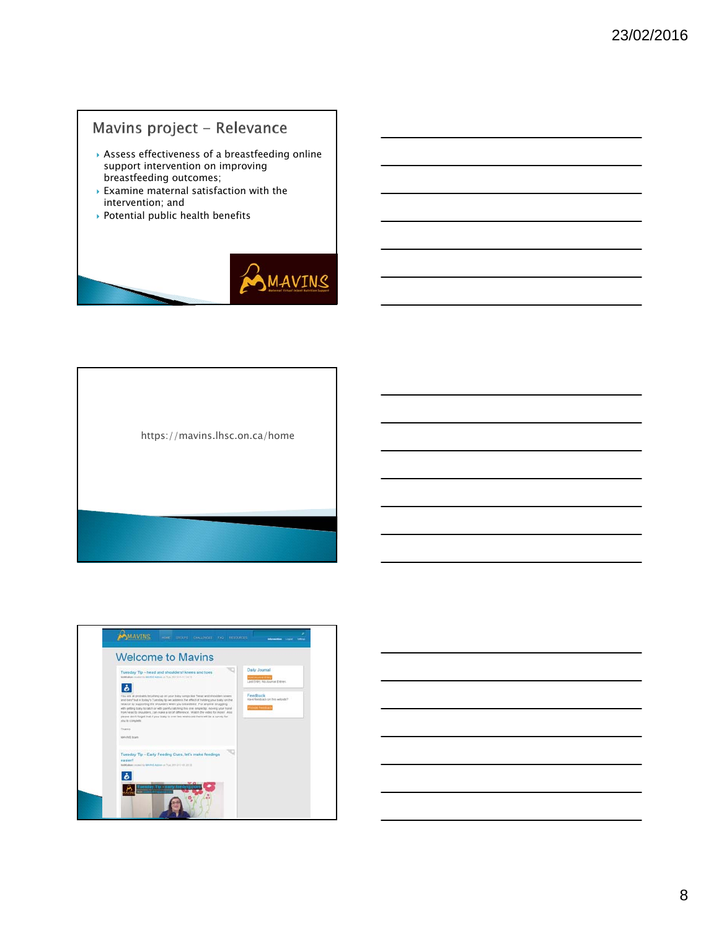## Mavins project - Relevance

- Assess effectiveness of a breastfeeding online support intervention on improving breastfeeding outcomes;
- Examine maternal satisfaction with the intervention; and
- ▶ Potential public health benefits



https://mavins.lhsc.on.ca/home

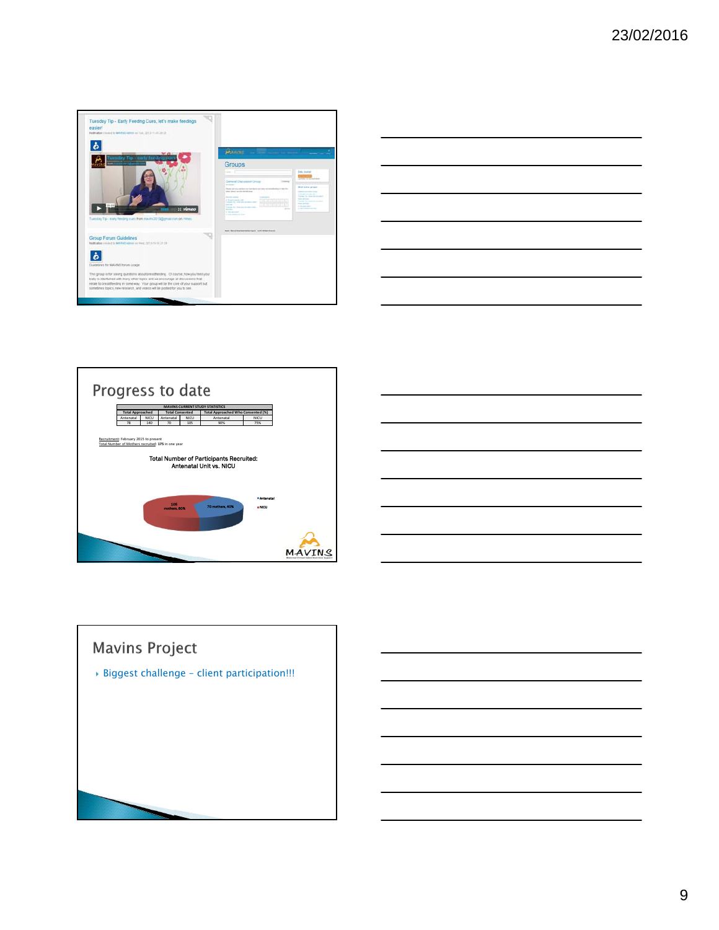







# **Mavins Project** Biggest challenge – client participation!!!